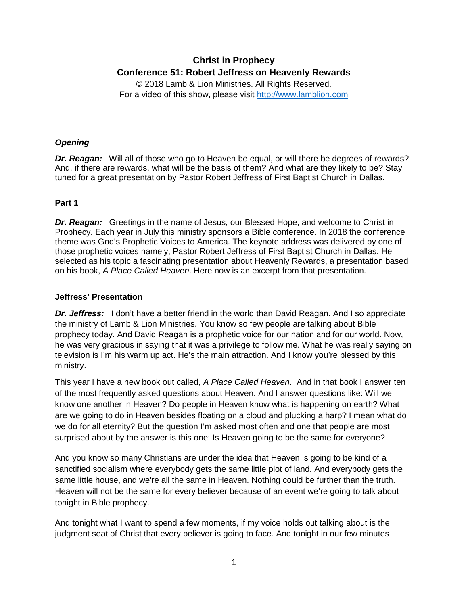# **Christ in Prophecy Conference 51: Robert Jeffress on Heavenly Rewards**

© 2018 Lamb & Lion Ministries. All Rights Reserved. For a video of this show, please visit [http://www.lamblion.com](http://www.lamblion.com/)

# *Opening*

**Dr. Reagan:** Will all of those who go to Heaven be equal, or will there be degrees of rewards? And, if there are rewards, what will be the basis of them? And what are they likely to be? Stay tuned for a great presentation by Pastor Robert Jeffress of First Baptist Church in Dallas.

# **Part 1**

*Dr. Reagan:* Greetings in the name of Jesus, our Blessed Hope, and welcome to Christ in Prophecy. Each year in July this ministry sponsors a Bible conference. In 2018 the conference theme was God's Prophetic Voices to America. The keynote address was delivered by one of those prophetic voices namely, Pastor Robert Jeffress of First Baptist Church in Dallas. He selected as his topic a fascinating presentation about Heavenly Rewards, a presentation based on his book, *A Place Called Heaven*. Here now is an excerpt from that presentation.

## **Jeffress' Presentation**

**Dr. Jeffress:** I don't have a better friend in the world than David Reagan. And I so appreciate the ministry of Lamb & Lion Ministries. You know so few people are talking about Bible prophecy today. And David Reagan is a prophetic voice for our nation and for our world. Now, he was very gracious in saying that it was a privilege to follow me. What he was really saying on television is I'm his warm up act. He's the main attraction. And I know you're blessed by this ministry.

This year I have a new book out called, *A Place Called Heaven*. And in that book I answer ten of the most frequently asked questions about Heaven. And I answer questions like: Will we know one another in Heaven? Do people in Heaven know what is happening on earth? What are we going to do in Heaven besides floating on a cloud and plucking a harp? I mean what do we do for all eternity? But the question I'm asked most often and one that people are most surprised about by the answer is this one: Is Heaven going to be the same for everyone?

And you know so many Christians are under the idea that Heaven is going to be kind of a sanctified socialism where everybody gets the same little plot of land. And everybody gets the same little house, and we're all the same in Heaven. Nothing could be further than the truth. Heaven will not be the same for every believer because of an event we're going to talk about tonight in Bible prophecy.

And tonight what I want to spend a few moments, if my voice holds out talking about is the judgment seat of Christ that every believer is going to face. And tonight in our few minutes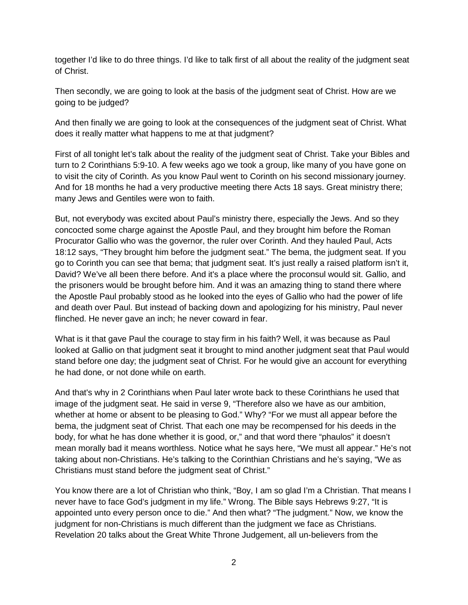together I'd like to do three things. I'd like to talk first of all about the reality of the judgment seat of Christ.

Then secondly, we are going to look at the basis of the judgment seat of Christ. How are we going to be judged?

And then finally we are going to look at the consequences of the judgment seat of Christ. What does it really matter what happens to me at that judgment?

First of all tonight let's talk about the reality of the judgment seat of Christ. Take your Bibles and turn to 2 Corinthians 5:9-10. A few weeks ago we took a group, like many of you have gone on to visit the city of Corinth. As you know Paul went to Corinth on his second missionary journey. And for 18 months he had a very productive meeting there Acts 18 says. Great ministry there; many Jews and Gentiles were won to faith.

But, not everybody was excited about Paul's ministry there, especially the Jews. And so they concocted some charge against the Apostle Paul, and they brought him before the Roman Procurator Gallio who was the governor, the ruler over Corinth. And they hauled Paul, Acts 18:12 says, "They brought him before the judgment seat." The bema, the judgment seat. If you go to Corinth you can see that bema; that judgment seat. It's just really a raised platform isn't it, David? We've all been there before. And it's a place where the proconsul would sit. Gallio, and the prisoners would be brought before him. And it was an amazing thing to stand there where the Apostle Paul probably stood as he looked into the eyes of Gallio who had the power of life and death over Paul. But instead of backing down and apologizing for his ministry, Paul never flinched. He never gave an inch; he never coward in fear.

What is it that gave Paul the courage to stay firm in his faith? Well, it was because as Paul looked at Gallio on that judgment seat it brought to mind another judgment seat that Paul would stand before one day; the judgment seat of Christ. For he would give an account for everything he had done, or not done while on earth.

And that's why in 2 Corinthians when Paul later wrote back to these Corinthians he used that image of the judgment seat. He said in verse 9, "Therefore also we have as our ambition, whether at home or absent to be pleasing to God." Why? "For we must all appear before the bema, the judgment seat of Christ. That each one may be recompensed for his deeds in the body, for what he has done whether it is good, or," and that word there "phaulos" it doesn't mean morally bad it means worthless. Notice what he says here, "We must all appear." He's not taking about non-Christians. He's talking to the Corinthian Christians and he's saying, "We as Christians must stand before the judgment seat of Christ."

You know there are a lot of Christian who think, "Boy, I am so glad I'm a Christian. That means I never have to face God's judgment in my life." Wrong. The Bible says Hebrews 9:27, "It is appointed unto every person once to die." And then what? "The judgment." Now, we know the judgment for non-Christians is much different than the judgment we face as Christians. Revelation 20 talks about the Great White Throne Judgement, all un-believers from the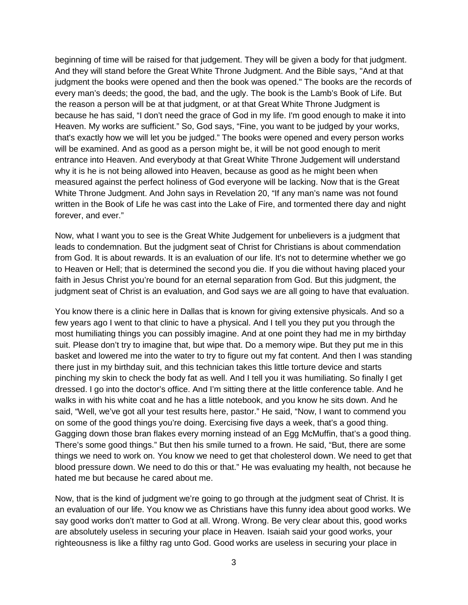beginning of time will be raised for that judgement. They will be given a body for that judgment. And they will stand before the Great White Throne Judgment. And the Bible says, "And at that judgment the books were opened and then the book was opened." The books are the records of every man's deeds; the good, the bad, and the ugly. The book is the Lamb's Book of Life. But the reason a person will be at that judgment, or at that Great White Throne Judgment is because he has said, "I don't need the grace of God in my life. I'm good enough to make it into Heaven. My works are sufficient." So, God says, "Fine, you want to be judged by your works, that's exactly how we will let you be judged." The books were opened and every person works will be examined. And as good as a person might be, it will be not good enough to merit entrance into Heaven. And everybody at that Great White Throne Judgement will understand why it is he is not being allowed into Heaven, because as good as he might been when measured against the perfect holiness of God everyone will be lacking. Now that is the Great White Throne Judgment. And John says in Revelation 20, "If any man's name was not found written in the Book of Life he was cast into the Lake of Fire, and tormented there day and night forever, and ever."

Now, what I want you to see is the Great White Judgement for unbelievers is a judgment that leads to condemnation. But the judgment seat of Christ for Christians is about commendation from God. It is about rewards. It is an evaluation of our life. It's not to determine whether we go to Heaven or Hell; that is determined the second you die. If you die without having placed your faith in Jesus Christ you're bound for an eternal separation from God. But this judgment, the judgment seat of Christ is an evaluation, and God says we are all going to have that evaluation.

You know there is a clinic here in Dallas that is known for giving extensive physicals. And so a few years ago I went to that clinic to have a physical. And I tell you they put you through the most humiliating things you can possibly imagine. And at one point they had me in my birthday suit. Please don't try to imagine that, but wipe that. Do a memory wipe. But they put me in this basket and lowered me into the water to try to figure out my fat content. And then I was standing there just in my birthday suit, and this technician takes this little torture device and starts pinching my skin to check the body fat as well. And I tell you it was humiliating. So finally I get dressed. I go into the doctor's office. And I'm sitting there at the little conference table. And he walks in with his white coat and he has a little notebook, and you know he sits down. And he said, "Well, we've got all your test results here, pastor." He said, "Now, I want to commend you on some of the good things you're doing. Exercising five days a week, that's a good thing. Gagging down those bran flakes every morning instead of an Egg McMuffin, that's a good thing. There's some good things." But then his smile turned to a frown. He said, "But, there are some things we need to work on. You know we need to get that cholesterol down. We need to get that blood pressure down. We need to do this or that." He was evaluating my health, not because he hated me but because he cared about me.

Now, that is the kind of judgment we're going to go through at the judgment seat of Christ. It is an evaluation of our life. You know we as Christians have this funny idea about good works. We say good works don't matter to God at all. Wrong. Wrong. Be very clear about this, good works are absolutely useless in securing your place in Heaven. Isaiah said your good works, your righteousness is like a filthy rag unto God. Good works are useless in securing your place in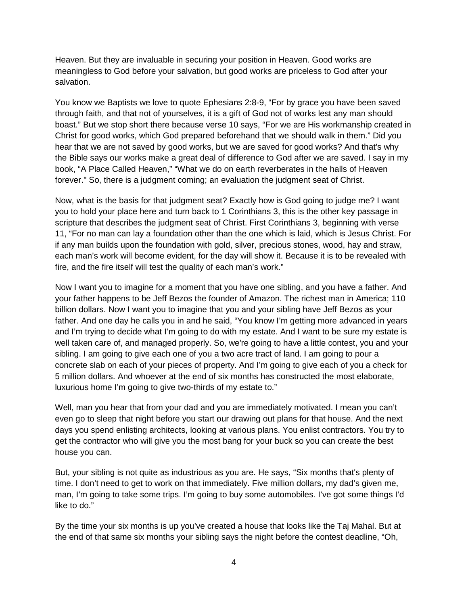Heaven. But they are invaluable in securing your position in Heaven. Good works are meaningless to God before your salvation, but good works are priceless to God after your salvation.

You know we Baptists we love to quote Ephesians 2:8-9, "For by grace you have been saved through faith, and that not of yourselves, it is a gift of God not of works lest any man should boast." But we stop short there because verse 10 says, "For we are His workmanship created in Christ for good works, which God prepared beforehand that we should walk in them." Did you hear that we are not saved by good works, but we are saved for good works? And that's why the Bible says our works make a great deal of difference to God after we are saved. I say in my book, "A Place Called Heaven," "What we do on earth reverberates in the halls of Heaven forever." So, there is a judgment coming; an evaluation the judgment seat of Christ.

Now, what is the basis for that judgment seat? Exactly how is God going to judge me? I want you to hold your place here and turn back to 1 Corinthians 3, this is the other key passage in scripture that describes the judgment seat of Christ. First Corinthians 3, beginning with verse 11, "For no man can lay a foundation other than the one which is laid, which is Jesus Christ. For if any man builds upon the foundation with gold, silver, precious stones, wood, hay and straw, each man's work will become evident, for the day will show it. Because it is to be revealed with fire, and the fire itself will test the quality of each man's work."

Now I want you to imagine for a moment that you have one sibling, and you have a father. And your father happens to be Jeff Bezos the founder of Amazon. The richest man in America; 110 billion dollars. Now I want you to imagine that you and your sibling have Jeff Bezos as your father. And one day he calls you in and he said, "You know I'm getting more advanced in years and I'm trying to decide what I'm going to do with my estate. And I want to be sure my estate is well taken care of, and managed properly. So, we're going to have a little contest, you and your sibling. I am going to give each one of you a two acre tract of land. I am going to pour a concrete slab on each of your pieces of property. And I'm going to give each of you a check for 5 million dollars. And whoever at the end of six months has constructed the most elaborate, luxurious home I'm going to give two-thirds of my estate to."

Well, man you hear that from your dad and you are immediately motivated. I mean you can't even go to sleep that night before you start our drawing out plans for that house. And the next days you spend enlisting architects, looking at various plans. You enlist contractors. You try to get the contractor who will give you the most bang for your buck so you can create the best house you can.

But, your sibling is not quite as industrious as you are. He says, "Six months that's plenty of time. I don't need to get to work on that immediately. Five million dollars, my dad's given me, man, I'm going to take some trips. I'm going to buy some automobiles. I've got some things I'd like to do."

By the time your six months is up you've created a house that looks like the Taj Mahal. But at the end of that same six months your sibling says the night before the contest deadline, "Oh,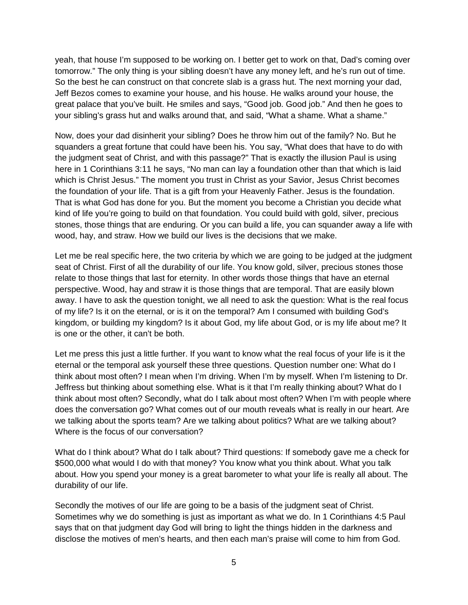yeah, that house I'm supposed to be working on. I better get to work on that, Dad's coming over tomorrow." The only thing is your sibling doesn't have any money left, and he's run out of time. So the best he can construct on that concrete slab is a grass hut. The next morning your dad, Jeff Bezos comes to examine your house, and his house. He walks around your house, the great palace that you've built. He smiles and says, "Good job. Good job." And then he goes to your sibling's grass hut and walks around that, and said, "What a shame. What a shame."

Now, does your dad disinherit your sibling? Does he throw him out of the family? No. But he squanders a great fortune that could have been his. You say, "What does that have to do with the judgment seat of Christ, and with this passage?" That is exactly the illusion Paul is using here in 1 Corinthians 3:11 he says, "No man can lay a foundation other than that which is laid which is Christ Jesus." The moment you trust in Christ as your Savior, Jesus Christ becomes the foundation of your life. That is a gift from your Heavenly Father. Jesus is the foundation. That is what God has done for you. But the moment you become a Christian you decide what kind of life you're going to build on that foundation. You could build with gold, silver, precious stones, those things that are enduring. Or you can build a life, you can squander away a life with wood, hay, and straw. How we build our lives is the decisions that we make.

Let me be real specific here, the two criteria by which we are going to be judged at the judgment seat of Christ. First of all the durability of our life. You know gold, silver, precious stones those relate to those things that last for eternity. In other words those things that have an eternal perspective. Wood, hay and straw it is those things that are temporal. That are easily blown away. I have to ask the question tonight, we all need to ask the question: What is the real focus of my life? Is it on the eternal, or is it on the temporal? Am I consumed with building God's kingdom, or building my kingdom? Is it about God, my life about God, or is my life about me? It is one or the other, it can't be both.

Let me press this just a little further. If you want to know what the real focus of your life is it the eternal or the temporal ask yourself these three questions. Question number one: What do I think about most often? I mean when I'm driving. When I'm by myself. When I'm listening to Dr. Jeffress but thinking about something else. What is it that I'm really thinking about? What do I think about most often? Secondly, what do I talk about most often? When I'm with people where does the conversation go? What comes out of our mouth reveals what is really in our heart. Are we talking about the sports team? Are we talking about politics? What are we talking about? Where is the focus of our conversation?

What do I think about? What do I talk about? Third questions: If somebody gave me a check for \$500,000 what would I do with that money? You know what you think about. What you talk about. How you spend your money is a great barometer to what your life is really all about. The durability of our life.

Secondly the motives of our life are going to be a basis of the judgment seat of Christ. Sometimes why we do something is just as important as what we do. In 1 Corinthians 4:5 Paul says that on that judgment day God will bring to light the things hidden in the darkness and disclose the motives of men's hearts, and then each man's praise will come to him from God.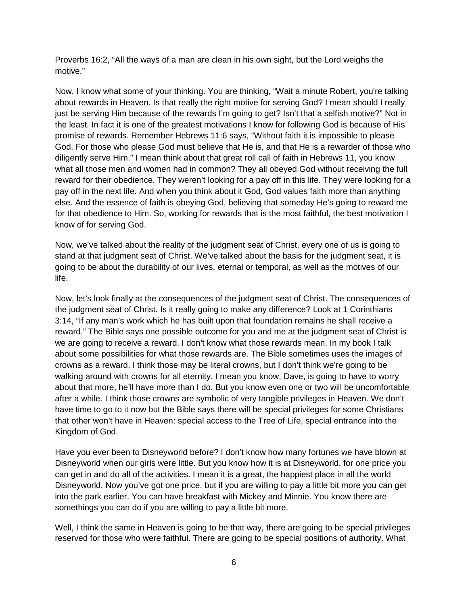Proverbs 16:2, "All the ways of a man are clean in his own sight, but the Lord weighs the motive."

Now, I know what some of your thinking. You are thinking, "Wait a minute Robert, you're talking about rewards in Heaven. Is that really the right motive for serving God? I mean should I really just be serving Him because of the rewards I'm going to get? Isn't that a selfish motive?" Not in the least. In fact it is one of the greatest motivations I know for following God is because of His promise of rewards. Remember Hebrews 11:6 says, "Without faith it is impossible to please God. For those who please God must believe that He is, and that He is a rewarder of those who diligently serve Him." I mean think about that great roll call of faith in Hebrews 11, you know what all those men and women had in common? They all obeyed God without receiving the full reward for their obedience. They weren't looking for a pay off in this life. They were looking for a pay off in the next life. And when you think about it God, God values faith more than anything else. And the essence of faith is obeying God, believing that someday He's going to reward me for that obedience to Him. So, working for rewards that is the most faithful, the best motivation I know of for serving God.

Now, we've talked about the reality of the judgment seat of Christ, every one of us is going to stand at that judgment seat of Christ. We've talked about the basis for the judgment seat, it is going to be about the durability of our lives, eternal or temporal, as well as the motives of our life.

Now, let's look finally at the consequences of the judgment seat of Christ. The consequences of the judgment seat of Christ. Is it really going to make any difference? Look at 1 Corinthians 3:14, "If any man's work which he has built upon that foundation remains he shall receive a reward." The Bible says one possible outcome for you and me at the judgment seat of Christ is we are going to receive a reward. I don't know what those rewards mean. In my book I talk about some possibilities for what those rewards are. The Bible sometimes uses the images of crowns as a reward. I think those may be literal crowns, but I don't think we're going to be walking around with crowns for all eternity. I mean you know, Dave, is going to have to worry about that more, he'll have more than I do. But you know even one or two will be uncomfortable after a while. I think those crowns are symbolic of very tangible privileges in Heaven. We don't have time to go to it now but the Bible says there will be special privileges for some Christians that other won't have in Heaven: special access to the Tree of Life, special entrance into the Kingdom of God.

Have you ever been to Disneyworld before? I don't know how many fortunes we have blown at Disneyworld when our girls were little. But you know how it is at Disneyworld, for one price you can get in and do all of the activities. I mean it is a great, the happiest place in all the world Disneyworld. Now you've got one price, but if you are willing to pay a little bit more you can get into the park earlier. You can have breakfast with Mickey and Minnie. You know there are somethings you can do if you are willing to pay a little bit more.

Well, I think the same in Heaven is going to be that way, there are going to be special privileges reserved for those who were faithful. There are going to be special positions of authority. What